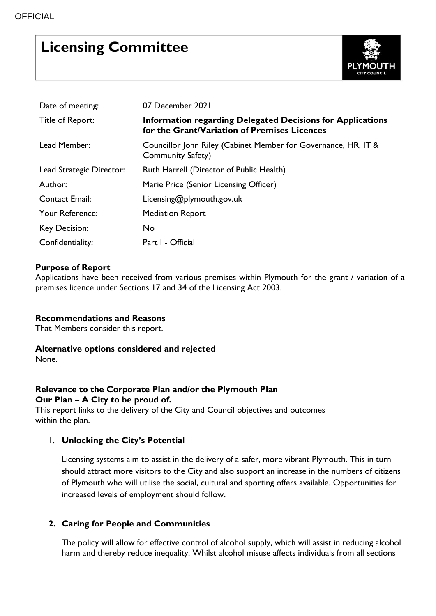# **Licensing Committee**



| Date of meeting:         | 07 December 2021                                                                                                  |  |  |  |  |
|--------------------------|-------------------------------------------------------------------------------------------------------------------|--|--|--|--|
| Title of Report:         | <b>Information regarding Delegated Decisions for Applications</b><br>for the Grant/Variation of Premises Licences |  |  |  |  |
| Lead Member:             | Councillor John Riley (Cabinet Member for Governance, HR, IT &<br>Community Safety)                               |  |  |  |  |
| Lead Strategic Director: | Ruth Harrell (Director of Public Health)                                                                          |  |  |  |  |
| Author:                  | Marie Price (Senior Licensing Officer)                                                                            |  |  |  |  |
| <b>Contact Email:</b>    | Licensing@plymouth.gov.uk                                                                                         |  |  |  |  |
| Your Reference:          | <b>Mediation Report</b>                                                                                           |  |  |  |  |
| Key Decision:            | No                                                                                                                |  |  |  |  |
| Confidentiality:         | Part I - Official                                                                                                 |  |  |  |  |

## **Purpose of Report**

Applications have been received from various premises within Plymouth for the grant / variation of a premises licence under Sections 17 and 34 of the Licensing Act 2003.

#### **Recommendations and Reasons**

That Members consider this report.

#### **Alternative options considered and rejected**

None.

# **Relevance to the Corporate Plan and/or the Plymouth Plan Our Plan – A City to be proud of.**

This report links to the delivery of the City and Council objectives and outcomes within the plan.

# 1. **Unlocking the City's Potential**

Licensing systems aim to assist in the delivery of a safer, more vibrant Plymouth. This in turn should attract more visitors to the City and also support an increase in the numbers of citizens of Plymouth who will utilise the social, cultural and sporting offers available. Opportunities for increased levels of employment should follow.

#### **2. Caring for People and Communities**

The policy will allow for effective control of alcohol supply, which will assist in reducing alcohol harm and thereby reduce inequality. Whilst alcohol misuse affects individuals from all sections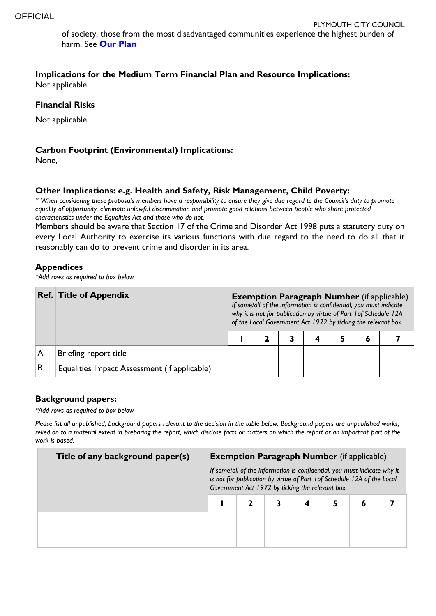of society, those from the most disadvantaged communities experience the highest burden of harm. See **[Our Plan](http://web.plymouth.gov.uk/new_corporate_plan.pdf)**

**Implications for the Medium Term Financial Plan and Resource Implications:**  Not applicable.

#### **Financial Risks**

Not applicable.

#### **Carbon Footprint (Environmental) Implications:**

None,

#### **Other Implications: e.g. Health and Safety, Risk Management, Child Poverty:**

*\* When considering these proposals members have a responsibility to ensure they give due regard to the Council's duty to promote equality of opportunity, eliminate unlawful discrimination and promote good relations between people who share protected characteristics under the Equalities Act and those who do not.*

Members should be aware that Section 17 of the Crime and Disorder Act 1998 puts a statutory duty on every Local Authority to exercise its various functions with due regard to the need to do all that it reasonably can do to prevent crime and disorder in its area.

#### **Appendices**

*\*Add rows as required to box below*

|   | <b>Ref. Title of Appendix</b>                |  | <b>Exemption Paragraph Number</b> (if applicable)<br>If some/all of the information is confidential, you must indicate<br>why it is not for publication by virtue of Part 1 of Schedule 12A<br>of the Local Government Act 1972 by ticking the relevant box. |  |  |  |   |  |  |
|---|----------------------------------------------|--|--------------------------------------------------------------------------------------------------------------------------------------------------------------------------------------------------------------------------------------------------------------|--|--|--|---|--|--|
|   |                                              |  |                                                                                                                                                                                                                                                              |  |  |  | O |  |  |
|   | Briefing report title                        |  |                                                                                                                                                                                                                                                              |  |  |  |   |  |  |
| B | Equalities Impact Assessment (if applicable) |  |                                                                                                                                                                                                                                                              |  |  |  |   |  |  |

#### **Background papers:**

*\*Add rows as required to box below*

*Please list all unpublished, background papers relevant to the decision in the table below. Background papers are unpublished works, relied on to a material extent in preparing the report, which disclose facts or matters on which the report or an important part of the work is based.*

| Title of any background paper(s) | <b>Exemption Paragraph Number</b> (if applicable)<br>If some/all of the information is confidential, you must indicate why it<br>is not for publication by virtue of Part 1 of Schedule 12A of the Local<br>Government Act 1972 by ticking the relevant box. |  |  |  |  |   |  |  |
|----------------------------------|--------------------------------------------------------------------------------------------------------------------------------------------------------------------------------------------------------------------------------------------------------------|--|--|--|--|---|--|--|
|                                  |                                                                                                                                                                                                                                                              |  |  |  |  | 6 |  |  |
|                                  |                                                                                                                                                                                                                                                              |  |  |  |  |   |  |  |
|                                  |                                                                                                                                                                                                                                                              |  |  |  |  |   |  |  |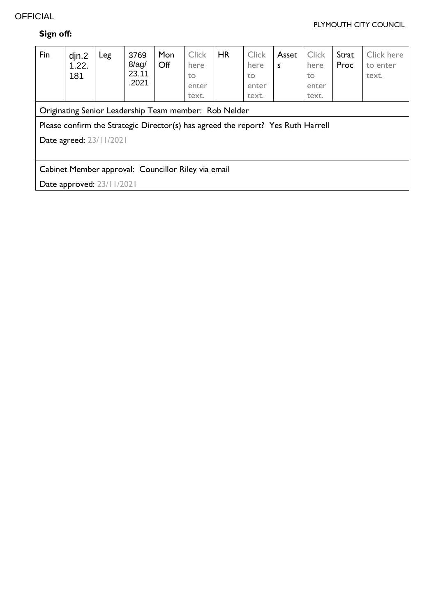# **OFFICIAL**

#### PLYMOUTH CITY COUNCIL

# **Sign off:**

| Fin                                                                              | din.2<br>1.22.<br>181 | Leg | 3769<br>$8$ /ag/<br>23.11<br>.2021 | Mon<br>Off | <b>Click</b><br>here<br>to<br>enter<br>text. | <b>HR</b> | <b>Click</b><br>here<br>to<br>enter<br>text. | Asset<br>S | <b>Click</b><br>here<br>to<br>enter<br>text. | Strat<br>Proc | Click here<br>to enter<br>text. |
|----------------------------------------------------------------------------------|-----------------------|-----|------------------------------------|------------|----------------------------------------------|-----------|----------------------------------------------|------------|----------------------------------------------|---------------|---------------------------------|
| Originating Senior Leadership Team member: Rob Nelder                            |                       |     |                                    |            |                                              |           |                                              |            |                                              |               |                                 |
| Please confirm the Strategic Director(s) has agreed the report? Yes Ruth Harrell |                       |     |                                    |            |                                              |           |                                              |            |                                              |               |                                 |
| Date agreed: 23/11/2021                                                          |                       |     |                                    |            |                                              |           |                                              |            |                                              |               |                                 |
|                                                                                  |                       |     |                                    |            |                                              |           |                                              |            |                                              |               |                                 |
| Cabinet Member approval: Councillor Riley via email                              |                       |     |                                    |            |                                              |           |                                              |            |                                              |               |                                 |
| Date approved: 23/11/2021                                                        |                       |     |                                    |            |                                              |           |                                              |            |                                              |               |                                 |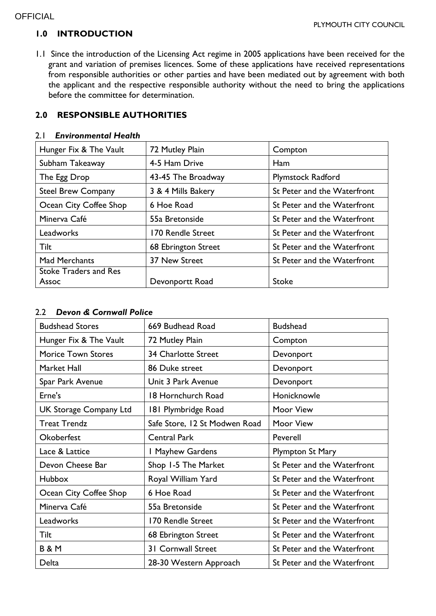# **1.0 INTRODUCTION**

1.1 Since the introduction of the Licensing Act regime in 2005 applications have been received for the grant and variation of premises licences. Some of these applications have received representations from responsible authorities or other parties and have been mediated out by agreement with both the applicant and the respective responsible authority without the need to bring the applications before the committee for determination.

## **2.0 RESPONSIBLE AUTHORITIES**

#### 2.1 *Environmental Health*

| Hunger Fix & The Vault       | 72 Mutley Plain<br>Compton |                             |  |
|------------------------------|----------------------------|-----------------------------|--|
| Subham Takeaway              | 4-5 Ham Drive              | Ham                         |  |
| The Egg Drop                 | 43-45 The Broadway         | <b>Plymstock Radford</b>    |  |
| <b>Steel Brew Company</b>    | 3 & 4 Mills Bakery         | St Peter and the Waterfront |  |
| Ocean City Coffee Shop       | 6 Hoe Road                 | St Peter and the Waterfront |  |
| Minerva Café                 | 55a Bretonside             | St Peter and the Waterfront |  |
| Leadworks                    | 170 Rendle Street          | St Peter and the Waterfront |  |
| <b>Tilt</b>                  | 68 Ebrington Street        | St Peter and the Waterfront |  |
| <b>Mad Merchants</b>         | 37 New Street              | St Peter and the Waterfront |  |
| <b>Stoke Traders and Res</b> |                            |                             |  |
| Assoc                        | Devonportt Road            | <b>Stoke</b>                |  |

#### 2.2 *Devon & Cornwall Police*

| <b>Budshead Stores</b>        | 669 Budhead Road              | <b>Budshead</b>             |
|-------------------------------|-------------------------------|-----------------------------|
| Hunger Fix & The Vault        | 72 Mutley Plain               | Compton                     |
| <b>Morice Town Stores</b>     | <b>34 Charlotte Street</b>    | Devonport                   |
| Market Hall                   | 86 Duke street                | Devonport                   |
| Spar Park Avenue              | Unit 3 Park Avenue            | Devonport                   |
| Erne's                        | 18 Hornchurch Road            | Honicknowle                 |
| <b>UK Storage Company Ltd</b> | 181 Plymbridge Road           | Moor View                   |
| <b>Treat Trendz</b>           | Safe Store, 12 St Modwen Road | Moor View                   |
| Okoberfest                    | <b>Central Park</b>           | Peverell                    |
| Lace & Lattice                | I Mayhew Gardens              | <b>Plympton St Mary</b>     |
| Devon Cheese Bar              | Shop 1-5 The Market           | St Peter and the Waterfront |
| <b>Hubbox</b>                 | Royal William Yard            | St Peter and the Waterfront |
| Ocean City Coffee Shop        | 6 Hoe Road                    | St Peter and the Waterfront |
| Minerva Café                  | 55a Bretonside                | St Peter and the Waterfront |
| Leadworks                     | 170 Rendle Street             | St Peter and the Waterfront |
| Tilt                          | 68 Ebrington Street           | St Peter and the Waterfront |
| <b>B&amp;M</b>                | 31 Cornwall Street            | St Peter and the Waterfront |
| Delta                         | 28-30 Western Approach        | St Peter and the Waterfront |